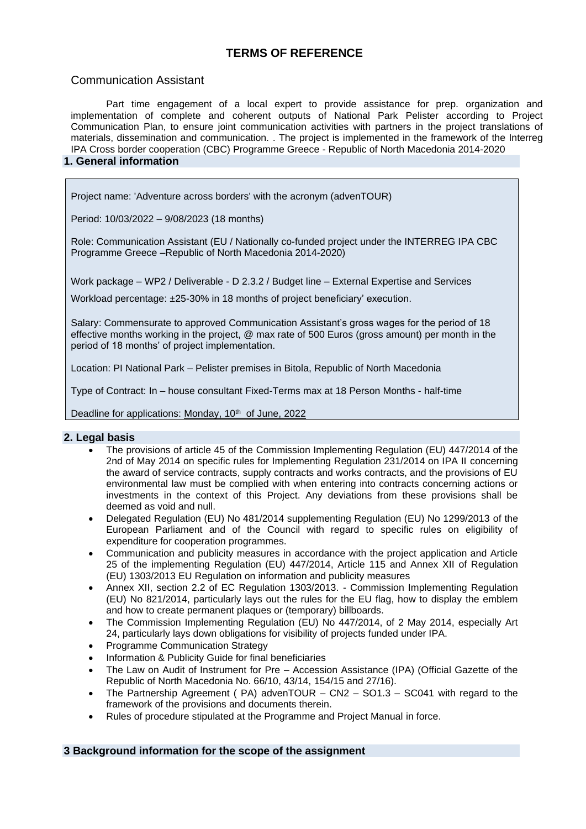# **TERMS OF REFERENCE**

# Communication Assistant

Part time engagement of a local expert to provide assistance for prep. organization and implementation of complete and coherent outputs of National Park Pelister according to Project Communication Plan, to ensure joint communication activities with partners in the project translations of materials, dissemination and communication. . The project is implemented in the framework of the Interreg IPA Cross border cooperation (CBC) Programme Greece - Republic of North Macedonia 2014-2020

# **1. General information**

Project name: 'Adventure across borders' with the acronym (advenTOUR)

Period: 10/03/2022 – 9/08/2023 (18 months)

Role: Communication Assistant (EU / Nationally co-funded project under the INTERREG IPA CBC Programme Greece –Republic of North Macedonia 2014-2020)

Work package – WP2 / Deliverable - D 2.3.2 / Budget line – External Expertise and Services

Workload percentage: ±25-30% in 18 months of project beneficiary' execution.

Salary: Commensurate to approved Communication Assistant's gross wages for the period of 18 effective months working in the project, @ max rate of 500 Euros (gross amount) per month in the period of 18 months' of project implementation.

Location: PI National Park – Pelister premises in Bitola, Republic of North Macedonia

Type of Contract: In – house consultant Fixed-Terms max at 18 Person Months - half-time

Deadline for applications: Monday, 10<sup>th</sup> of June, 2022

### **2. Legal basis**

- The provisions of article 45 of the Commission Implementing Regulation (EU) 447/2014 of the 2nd of May 2014 on specific rules for Implementing Regulation 231/2014 on IPA II concerning the award of service contracts, supply contracts and works contracts, and the provisions of EU environmental law must be complied with when entering into contracts concerning actions or investments in the context of this Project. Any deviations from these provisions shall be deemed as void and null.
- Delegated Regulation (EU) No 481/2014 supplementing Regulation (EU) No 1299/2013 of the European Parliament and of the Council with regard to specific rules on eligibility of expenditure for cooperation programmes.
- Communication and publicity measures in accordance with the project application and Article 25 of the implementing Regulation (EU) 447/2014, Article 115 and Annex XII of Regulation (EU) 1303/2013 EU Regulation on information and publicity measures
- Annex XII, section 2.2 of EC Regulation 1303/2013. Commission Implementing Regulation (EU) No 821/2014, particularly lays out the rules for the EU flag, how to display the emblem and how to create permanent plaques or (temporary) billboards.
- The Commission Implementing Regulation (EU) No 447/2014, of 2 May 2014, especially Art 24, particularly lays down obligations for visibility of projects funded under IPA.
- Programme Communication Strategy
- Information & Publicity Guide for final beneficiaries
- The Law on Audit of Instrument for Pre Accession Assistance (IPA) (Official Gazette of the Republic of North Macedonia No. 66/10, 43/14, 154/15 and 27/16).
- The Partnership Agreement ( $PA$ ) advenTOUR  $CN2 SO1.3 SC041$  with regard to the framework of the provisions and documents therein.
- Rules of procedure stipulated at the Programme and Project Manual in force.

### **3 Background information for the scope of the assignment**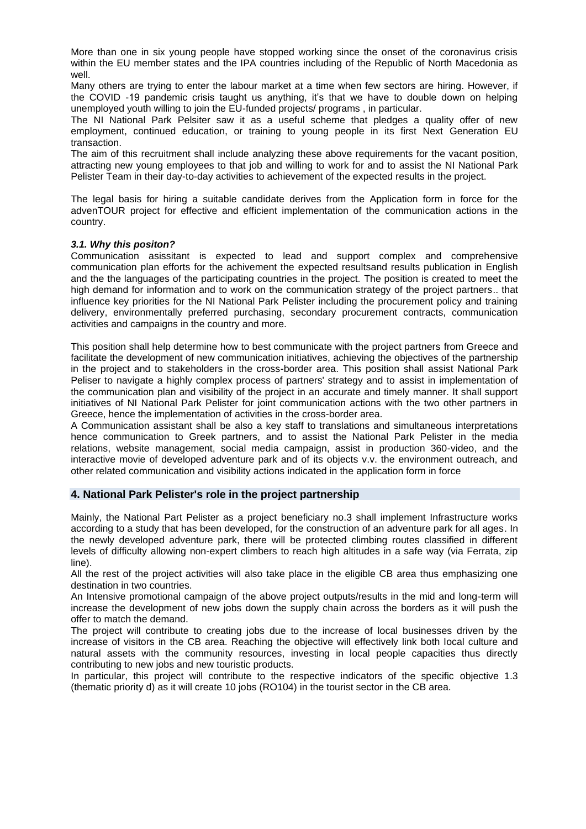More than one in six young people have stopped working since the onset of the coronavirus crisis within the EU member states and the IPA countries including of the Republic of North Macedonia as well.

Many others are trying to enter the labour market at a time when few sectors are hiring. However, if the COVID -19 pandemic crisis taught us anything, it's that we have to double down on helping unemployed youth willing to join the EU-funded projects/ programs , in particular.

The NI National Park Pelsiter saw it as a useful scheme that pledges a quality offer of new employment, continued education, or training to young people in its first Next Generation EU transaction.

The aim of this recruitment shall include analyzing these above requirements for the vacant position, attracting new young employees to that job and willing to work for and to assist the NI National Park Pelister Team in their day-to-day activities to achievement of the expected results in the project.

The legal basis for hiring a suitable candidate derives from the Application form in force for the advenTOUR project for effective and efficient implementation of the communication actions in the country.

#### *3.1. Why this positon?*

Communication asissitant is expected to lead and support complex and comprehensive communication plan efforts for the achivement the expected resultsand results publication in English and the the languages of the participating countries in the project. The position is created to meet the high demand for information and to work on the communication strategy of the project partners.. that influence key priorities for the NI National Park Pelister including the procurement policy and training delivery, environmentally preferred purchasing, secondary procurement contracts, communication activities and campaigns in the country and more.

This position shall help determine how to best communicate with the project partners from Greece and facilitate the development of new communication initiatives, achieving the objectives of the partnership in the project and to stakeholders in the cross-border area. This position shall assist National Park Peliser to navigate a highly complex process of partners' strategy and to assist in implementation of the communication plan and visibility of the project in an accurate and timely manner. It shall support initiatives of NI National Park Pelister for joint communication actions with the two other partners in Greece, hence the implementation of activities in the cross-border area.

A Communication assistant shall be also a key staff to translations and simultaneous interpretations hence communication to Greek partners, and to assist the National Park Pelister in the media relations, website management, social media campaign, assist in production 360-video, and the interactive movie of developed adventure park and of its objects v.v. the environment outreach, and other related communication and visibility actions indicated in the application form in force

### **4. National Park Pelister's role in the project partnership**

Mainly, the National Part Pelister as a project beneficiary no.3 shall implement Infrastructure works according to a study that has been developed, for the construction of an adventure park for all ages. In the newly developed adventure park, there will be protected climbing routes classified in different levels of difficulty allowing non-expert climbers to reach high altitudes in a safe way (via Ferrata, zip line).

All the rest of the project activities will also take place in the eligible CB area thus emphasizing one destination in two countries.

An Intensive promotional campaign of the above project outputs/results in the mid and long-term will increase the development of new jobs down the supply chain across the borders as it will push the offer to match the demand.

The project will contribute to creating jobs due to the increase of local businesses driven by the increase of visitors in the CB area. Reaching the objective will effectively link both local culture and natural assets with the community resources, investing in local people capacities thus directly contributing to new jobs and new touristic products.

In particular, this project will contribute to the respective indicators of the specific objective 1.3 (thematic priority d) as it will create 10 jobs (RO104) in the tourist sector in the CB area.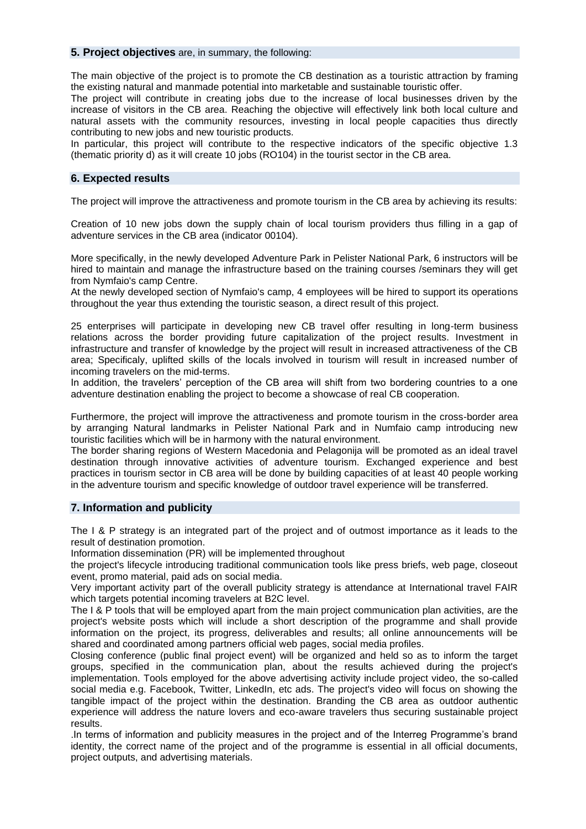#### **5. Project objectives** are, in summary, the following:

The main objective of the project is to promote the CB destination as a touristic attraction by framing the existing natural and manmade potential into marketable and sustainable touristic offer.

The project will contribute in creating jobs due to the increase of local businesses driven by the increase of visitors in the CB area. Reaching the objective will effectively link both local culture and natural assets with the community resources, investing in local people capacities thus directly contributing to new jobs and new touristic products.

In particular, this project will contribute to the respective indicators of the specific objective 1.3 (thematic priority d) as it will create 10 jobs (RO104) in the tourist sector in the CB area.

### **6. Expected results**

The project will improve the attractiveness and promote tourism in the CB area by achieving its results:

Creation of 10 new jobs down the supply chain of local tourism providers thus filling in a gap of adventure services in the CB area (indicator 00104).

More specifically, in the newly developed Adventure Park in Pelister National Park, 6 instructors will be hired to maintain and manage the infrastructure based on the training courses /seminars they will get from Nymfaio's camp Centre.

At the newly developed section of Nymfaio's camp, 4 employees will be hired to support its operations throughout the year thus extending the touristic season, a direct result of this project.

25 enterprises will participate in developing new CB travel offer resulting in long-term business relations across the border providing future capitalization of the project results. Investment in infrastructure and transfer of knowledge by the project will result in increased attractiveness of the CB area; Specificaly, uplifted skills of the locals involved in tourism will result in increased number of incoming travelers on the mid-terms.

In addition, the travelers' perception of the CB area will shift from two bordering countries to a one adventure destination enabling the project to become a showcase of real CB cooperation.

Furthermore, the project will improve the attractiveness and promote tourism in the cross-border area by arranging Natural landmarks in Pelister National Park and in Numfaio camp introducing new touristic facilities which will be in harmony with the natural environment.

The border sharing regions of Western Macedonia and Pelagonija will be promoted as an ideal travel destination through innovative activities of adventure tourism. Exchanged experience and best practices in tourism sector in CB area will be done by building capacities of at least 40 people working in the adventure tourism and specific knowledge of outdoor travel experience will be transferred.

### **7. Information and publicity**

The I & P strategy is an integrated part of the project and of outmost importance as it leads to the result of destination promotion.

Information dissemination (PR) will be implemented throughout

the project's lifecycle introducing traditional communication tools like press briefs, web page, closeout event, promo material, paid ads on social media.

Very important activity part of the overall publicity strategy is attendance at International travel FAIR which targets potential incoming travelers at B2C level.

The I & P tools that will be employed apart from the main project communication plan activities, are the project's website posts which will include a short description of the programme and shall provide information on the project, its progress, deliverables and results; all online announcements will be shared and coordinated among partners official web pages, social media profiles.

Closing conference (public final project event) will be organized and held so as to inform the target groups, specified in the communication plan, about the results achieved during the project's implementation. Tools employed for the above advertising activity include project video, the so-called social media e.g. Facebook, Twitter, LinkedIn, etc ads. The project's video will focus on showing the tangible impact of the project within the destination. Branding the CB area as outdoor authentic experience will address the nature lovers and eco-aware travelers thus securing sustainable project results.

.In terms of information and publicity measures in the project and of the Interreg Programme's brand identity, the correct name of the project and of the programme is essential in all official documents, project outputs, and advertising materials.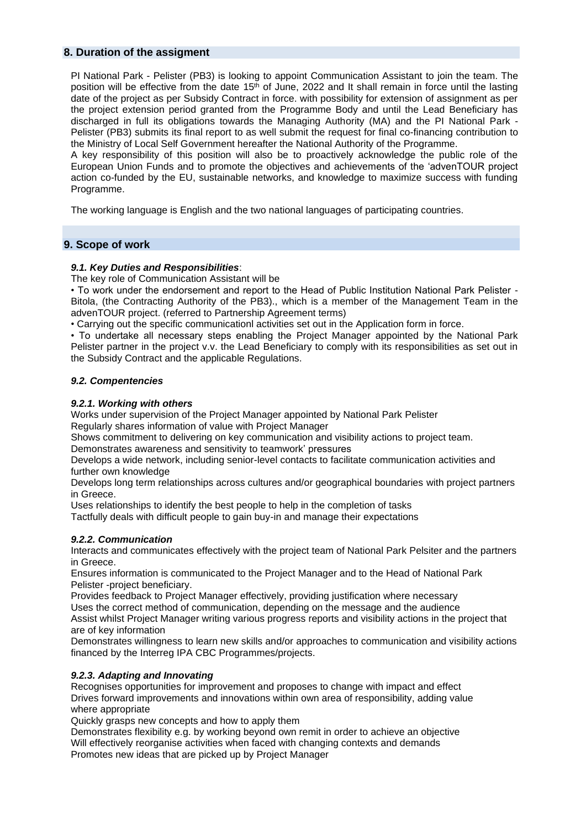### **8. Duration of the assigment**

PI National Park - Pelister (PB3) is looking to appoint Communication Assistant to join the team. The position will be effective from the date 15<sup>th</sup> of June, 2022 and It shall remain in force until the lasting date of the project as per Subsidy Contract in force. with possibility for extension of assignment as per the project extension period granted from the Programme Body and until the Lead Beneficiary has discharged in full its obligations towards the Managing Authority (MA) and the PI National Park - Pelister (PB3) submits its final report to as well submit the request for final co-financing contribution to the Ministry of Local Self Government hereafter the National Authority of the Programme.

A key responsibility of this position will also be to proactively acknowledge the public role of the European Union Funds and to promote the objectives and achievements of the 'advenTOUR project action co-funded by the EU, sustainable networks, and knowledge to maximize success with funding Programme.

The working language is English and the two national languages of participating countries.

# **9. Scope of work**

#### *9.1. Key Duties and Responsibilities*:

The key role of Communication Assistant will be

• To work under the endorsement and report to the Head of Public Institution National Park Pelister - Bitola, (the Contracting Authority of the PB3)., which is a member of the Management Team in the advenTOUR project. (referred to Partnership Agreement terms)

• Carrying out the specific communicationl activities set out in the Application form in force.

• To undertake all necessary steps enabling the Project Manager appointed by the National Park Pelister partner in the project v.v. the Lead Beneficiary to comply with its responsibilities as set out in the Subsidy Contract and the applicable Regulations.

#### *9.2. Compentencies*

#### *9.2.1. Working with others*

Works under supervision of the Project Manager appointed by National Park Pelister Regularly shares information of value with Project Manager

Shows commitment to delivering on key communication and visibility actions to project team.

Demonstrates awareness and sensitivity to teamwork' pressures

Develops a wide network, including senior-level contacts to facilitate communication activities and further own knowledge

Develops long term relationships across cultures and/or geographical boundaries with project partners in Greece.

Uses relationships to identify the best people to help in the completion of tasks

Tactfully deals with difficult people to gain buy-in and manage their expectations

#### *9.2.2. Communication*

Interacts and communicates effectively with the project team of National Park Pelsiter and the partners in Greece.

Ensures information is communicated to the Project Manager and to the Head of National Park Pelister -project beneficiary.

Provides feedback to Project Manager effectively, providing justification where necessary

Uses the correct method of communication, depending on the message and the audience Assist whilst Project Manager writing various progress reports and visibility actions in the project that are of key information

Demonstrates willingness to learn new skills and/or approaches to communication and visibility actions financed by the Interreg IPA CBC Programmes/projects.

### *9.2.3. Adapting and Innovating*

Recognises opportunities for improvement and proposes to change with impact and effect Drives forward improvements and innovations within own area of responsibility, adding value where appropriate

Quickly grasps new concepts and how to apply them

Demonstrates flexibility e.g. by working beyond own remit in order to achieve an objective Will effectively reorganise activities when faced with changing contexts and demands Promotes new ideas that are picked up by Project Manager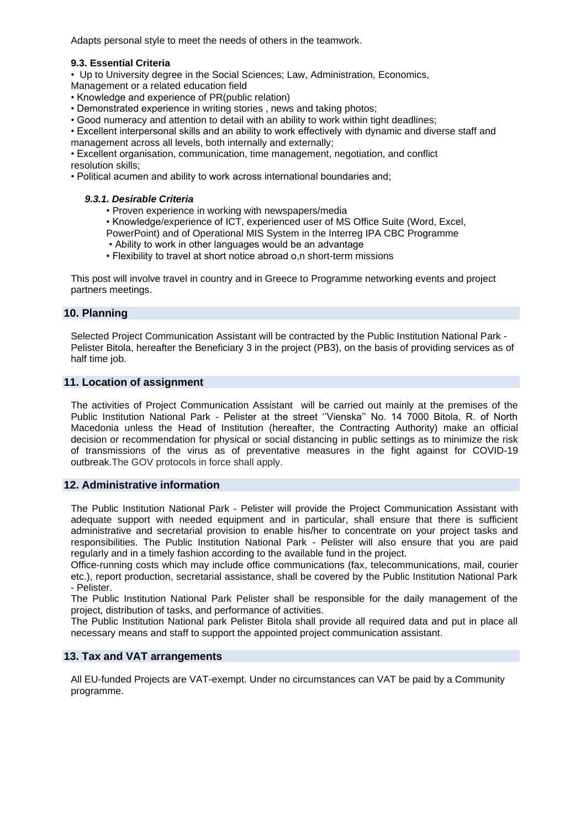Adapts personal style to meet the needs of others in the teamwork.

### **9.3. Essential Criteria**

• Up to University degree in the Social Sciences; Law, Administration, Economics,

Management or a related education field

- Knowledge and experience of PR(public relation)
- Demonstrated experience in writing stories , news and taking photos;
- Good numeracy and attention to detail with an ability to work within tight deadlines;
- Excellent interpersonal skills and an ability to work effectively with dynamic and diverse staff and management across all levels, both internally and externally;

• Excellent organisation, communication, time management, negotiation, and conflict resolution skills;

• Political acumen and ability to work across international boundaries and;

### *9.3.1. Desirable Criteria*

- Proven experience in working with newspapers/media
- Knowledge/experience of ICT, experienced user of MS Office Suite (Word, Excel,
- PowerPoint) and of Operational MIS System in the Interreg IPA CBC Programme
- Ability to work in other languages would be an advantage
- Flexibility to travel at short notice abroad o,n short-term missions

This post will involve travel in country and in Greece to Programme networking events and project partners meetings.

### **10. Planning**

Selected Project Communication Assistant will be contracted by the Public Institution National Park - Pelister Bitola, hereafter the Beneficiary 3 in the project (PB3), on the basis of providing services as of half time job.

# **11. Location of assignment**

The activities of Project Communication Assistant will be carried out mainly at the premises of the Public Institution National Park - Pelister at the street ''Vienska'' No. 14 7000 Bitola, R. of North Macedonia unless the Head of Institution (hereafter, the Contracting Authority) make an official decision or recommendation for physical or social distancing in public settings as to minimize the risk of transmissions of the virus as of preventative measures in the fight against for COVID-19 outbreak.The GOV protocols in force shall apply.

### **12. Administrative information**

The Public Institution National Park - Pelister will provide the Project Communication Assistant with adequate support with needed equipment and in particular, shall ensure that there is sufficient administrative and secretarial provision to enable his/her to concentrate on your project tasks and responsibilities. The Public Institution National Park - Pelister will also ensure that you are paid regularly and in a timely fashion according to the available fund in the project.

Office-running costs which may include office communications (fax, telecommunications, mail, courier etc.), report production, secretarial assistance, shall be covered by the Public Institution National Park - Pelister.

The Public Institution National Park Pelister shall be responsible for the daily management of the project, distribution of tasks, and performance of activities.

The Public Institution National park Pelister Bitola shall provide all required data and put in place all necessary means and staff to support the appointed project communication assistant.

#### **13. Tax and VAT arrangements**

All EU-funded Projects are VAT-exempt. Under no circumstances can VAT be paid by a Community programme.